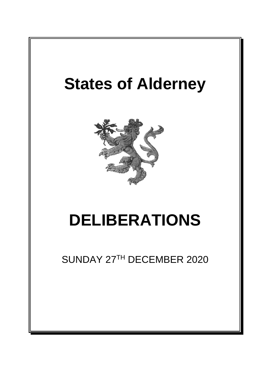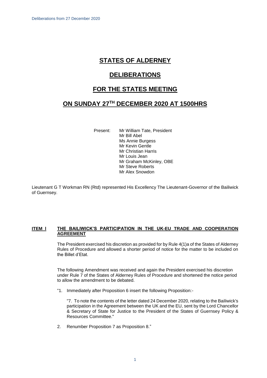# **STATES OF ALDERNEY**

## **DELIBERATIONS**

## **FOR THE STATES MEETING**

## **ON SUNDAY 27TH DECEMBER 2020 AT 1500HRS**

Present: Mr William Tate, President Mr Bill Abel Ms Annie Burgess Mr Kevin Gentle Mr Christian Harris Mr Louis Jean Mr Graham McKinley, OBE Mr Steve Roberts Mr Alex Snowdon

Lieutenant G T Workman RN (Rtd) represented His Excellency The Lieutenant-Governor of the Bailiwick of Guernsey.

#### **ITEM l THE BAILIWICK'S PARTICIPATION IN THE UK-EU TRADE AND COOPERATION AGREEMENT**

The President exercised his discretion as provided for by Rule 4(1)a of the States of Alderney Rules of Procedure and allowed a shorter period of notice for the matter to be included on the Billet d'Etat.

The following Amendment was received and again the President exercised his discretion under Rule 7 of the States of Alderney Rules of Procedure and shortened the notice period to allow the amendment to be debated.

"1. Immediately after Proposition 6 insert the following Proposition:-

"7. To note the contents of the letter dated 24 December 2020, relating to the Bailiwick's participation in the Agreement between the UK and the EU, sent by the Lord Chancellor & Secretary of State for Justice to the President of the States of Guernsey Policy & Resources Committee."

2. Renumber Proposition 7 as Proposition 8."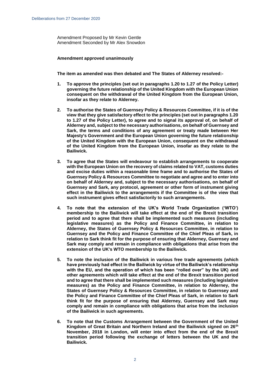Amendment Proposed by Mr Kevin Gentle Amendment Seconded by Mr Alex Snowdon

#### **Amendment approved unanimously**

**The item as amended was then debated and The States of Alderney resolved:-**

- **1. To approve the principles (set out in paragraphs 1.20 to 1.27 of the Policy Letter) governing the future relationship of the United Kingdom with the European Union consequent on the withdrawal of the United Kingdom from the European Union, insofar as they relate to Alderney.**
- **2. To authorise the States of Guernsey Policy & Resources Committee, if it is of the view that they give satisfactory effect to the principles (set out in paragraphs 1.20 to 1.27 of the Policy Letter), to agree and to signal its approval of, on behalf of Alderney and, subject to the necessary authorisations, on behalf of Guernsey and Sark, the terms and conditions of any agreement or treaty made between Her Majesty's Government and the European Union governing the future relationship of the United Kingdom with the European Union, consequent on the withdrawal of the United Kingdom from the European Union, insofar as they relate to the Bailiwick.**
- **3. To agree that the States will endeavour to establish arrangements to cooperate with the European Union on the recovery of claims related to VAT, customs duties and excise duties within a reasonable time frame and to authorise the States of Guernsey Policy & Resources Committee to negotiate and agree and to enter into on behalf of Alderney and, subject to the necessary authorisations, on behalf of Guernsey and Sark, any protocol, agreement or other form of instrument giving effect in the Bailiwick to the arrangements if the Committee is of the view that such instrument gives effect satisfactorily to such arrangements.**
- **4. To note that the extension of the UK's World Trade Organization ('WTO') membership to the Bailiwick will take effect at the end of the Brexit transition period and to agree that there shall be implemented such measures (including legislative measures) as the Policy and Finance Committee, in relation to Alderney, the States of Guernsey Policy & Resources Committee, in relation to Guernsey and the Policy and Finance Committee of the Chief Pleas of Sark, in relation to Sark think fit for the purpose of ensuring that Alderney, Guernsey and Sark may comply and remain in compliance with obligations that arise from the extension of the UK's WTO membership to the Bailiwick.**
- **5. To note the inclusion of the Bailiwick in various free trade agreements (which have previously had effect in the Bailiwick by virtue of the Bailiwick's relationship with the EU, and the operation of which has been "rolled over" by the UK) and other agreements which will take effect at the end of the Brexit transition period and to agree that there shall be implemented such measures (including legislative measures) as the Policy and Finance Committee, in relation to Alderney, the States of Guernsey Policy & Resources Committee, in relation to Guernsey and the Policy and Finance Committee of the Chief Pleas of Sark, in relation to Sark think fit for the purpose of ensuring that Alderney, Guernsey and Sark may comply and remain in compliance with obligations that arise from the inclusion of the Bailiwick in such agreements.**
- **6. To note that the Customs Arrangement between the Government of the United Kingdom of Great Britain and Northern Ireland and the Bailiwick signed on 26th November, 2018 in London, will enter into effect from the end of the Brexit transition period following the exchange of letters between the UK and the Bailiwick.**